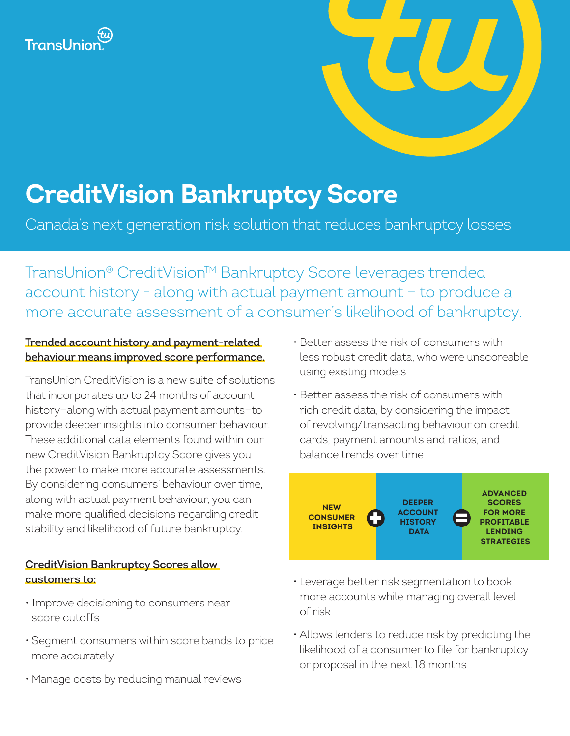



# **CreditVision Bankruptcy Score**

Canada's next generation risk solution that reduces bankruptcy losses

TransUnion® CreditVision™ Bankruptcy Score leverages trended account history - along with actual payment amount – to produce a more accurate assessment of a consumer's likelihood of bankruptcy.

## **Trended account history and payment-related behaviour means improved score performance.**

TransUnion CreditVision is a new suite of solutions that incorporates up to 24 months of account history—along with actual payment amounts—to provide deeper insights into consumer behaviour. These additional data elements found within our new CreditVision Bankruptcy Score gives you the power to make more accurate assessments. By considering consumers' behaviour over time, along with actual payment behaviour, you can make more qualified decisions regarding credit stability and likelihood of future bankruptcy.

# **CreditVision Bankruptcy Scores allow customers to:**

- Improve decisioning to consumers near score cutoffs
- Segment consumers within score bands to price more accurately
- Manage costs by reducing manual reviews
- Better assess the risk of consumers with less robust credit data, who were unscoreable using existing models
- Better assess the risk of consumers with rich credit data, by considering the impact of revolving/transacting behaviour on credit cards, payment amounts and ratios, and balance trends over time



- Leverage better risk segmentation to book more accounts while managing overall level of risk
- Allows lenders to reduce risk by predicting the likelihood of a consumer to file for bankruptcy or proposal in the next 18 months